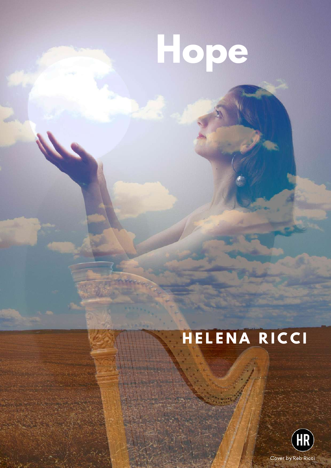# **Hope**

## **H E L E N A R I C C I**